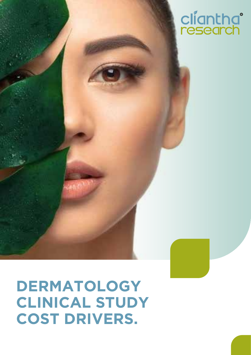# cliantha<sup>°</sup><br>research

### **DERMATOLOGY CLINICAL STUDY COST DRIVERS.**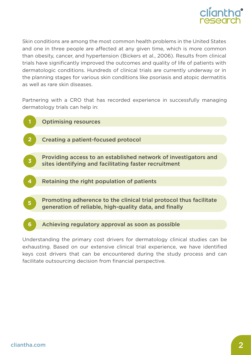

Skin conditions are among the most common health problems in the United States and one in three people are affected at any given time, which is more common than obesity, cancer, and hypertension (Bickers et al., 2006). Results from clinical trials have significantly improved the outcomes and quality of life of patients with dermatologic conditions. Hundreds of clinical trials are currently underway or in the planning stages for various skin conditions like psoriasis and atopic dermatitis as well as rare skin diseases.

Partnering with a CRO that has recorded experience in successfully managing dermatology trials can help in:



Understanding the primary cost drivers for dermatology clinical studies can be exhausting. Based on our extensive clinical trial experience, we have identified keys cost drivers that can be encountered during the study process and can facilitate outsourcing decision from financial perspective.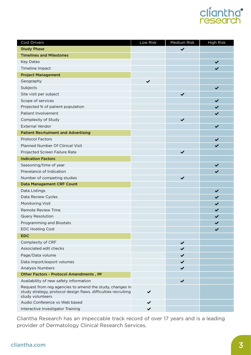## cliantha<sup>®</sup><br>research

| Cost Drivers                                                                                                                                   | Low Risk     | Medium Risk  | <b>High Risk</b> |
|------------------------------------------------------------------------------------------------------------------------------------------------|--------------|--------------|------------------|
| <b>Study Phase</b>                                                                                                                             |              | $\checkmark$ |                  |
| <b>Timelines and Milestones</b>                                                                                                                |              |              |                  |
| <b>Key Dates</b>                                                                                                                               |              |              | $\checkmark$     |
| Timeline Impact                                                                                                                                |              |              | $\checkmark$     |
| <b>Project Management</b>                                                                                                                      |              |              |                  |
| Geography                                                                                                                                      | $\checkmark$ |              |                  |
| Subjects                                                                                                                                       |              |              | $\checkmark$     |
| Site visit per subject                                                                                                                         |              | $\checkmark$ |                  |
| Scope of services                                                                                                                              |              |              | $\checkmark$     |
| Projected % of patient population                                                                                                              |              |              | $\checkmark$     |
| Patient Involvement                                                                                                                            |              |              | $\checkmark$     |
| Complexity of Study                                                                                                                            |              | $\checkmark$ |                  |
| <b>External Vendor</b>                                                                                                                         |              |              | $\checkmark$     |
| <b>Patient Recrtuiment and Advertising</b>                                                                                                     |              |              |                  |
| <b>Protocol Factors</b>                                                                                                                        |              |              | ✔                |
| <b>Planned Number Of Clinical Visit</b>                                                                                                        |              |              | $\checkmark$     |
| Projected Screen Failure Rate                                                                                                                  |              | $\checkmark$ |                  |
| <b>Indication Factors</b>                                                                                                                      |              |              |                  |
| Seasoning/time of year                                                                                                                         |              |              | $\checkmark$     |
| Prevelance of Indication                                                                                                                       |              |              | $\checkmark$     |
| Number of competing studies                                                                                                                    |              | $\checkmark$ |                  |
| <b>Data Management CRF Count</b>                                                                                                               |              |              |                  |
| Data Listings                                                                                                                                  |              |              | $\checkmark$     |
| Data Review Cycles                                                                                                                             |              |              | $\checkmark$     |
| Monitoring Visit                                                                                                                               |              |              | $\checkmark$     |
| <b>Remote Review Time</b>                                                                                                                      |              |              | $\checkmark$     |
| Query Resolution                                                                                                                               |              |              | $\checkmark$     |
| Programming and Biostats                                                                                                                       |              |              | ✔                |
| <b>EDC Hosting Cost</b>                                                                                                                        |              |              |                  |
| <b>EDC</b>                                                                                                                                     |              |              |                  |
| Complexity of CRF                                                                                                                              |              | $\checkmark$ |                  |
| Associated edit checks                                                                                                                         |              | ✔            |                  |
| Page/Data volume                                                                                                                               |              | $\checkmark$ |                  |
| Data import/export volumes                                                                                                                     |              | $\checkmark$ |                  |
| Analysis Numbers                                                                                                                               |              | $\checkmark$ |                  |
| Other Factors - Protocol Amendments, IM                                                                                                        |              |              |                  |
| Availability of new safety information                                                                                                         |              | $\checkmark$ |                  |
| Request from reg agencies to amend the study, changes in<br>study strategy, protocol design flaws, difficulties recruiting<br>study volunteers | $\checkmark$ |              |                  |
| Audio Conference vs Web based                                                                                                                  | ✔            |              |                  |
| Interactive Investigator Training                                                                                                              | $\checkmark$ |              |                  |

Cliantha Research has an impeccable track record of over 17 years and is a leading provider of Dermatology Clinical Research Services.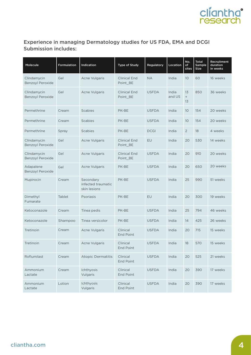

#### Experience in managing Dermatology studies for US FDA, EMA and DCGI Submission includes:

| Molecule                               | Formulation   | Indication                                      | Type of Study                   | Regulatory   | Location        | No.<br>of<br>sites | <b>Total</b><br>Sample<br>Size | Recruitment<br>duration<br>in weeks |
|----------------------------------------|---------------|-------------------------------------------------|---------------------------------|--------------|-----------------|--------------------|--------------------------------|-------------------------------------|
| Clindamycin<br><b>Benzoyl Peroxide</b> | Gel           | Acne Vulgaris                                   | <b>Clinical End</b><br>Point BE | <b>NA</b>    | India           | 10                 | 60                             | 16 weeks                            |
| Clindamycin<br><b>Benzoyl Peroxide</b> | Gel           | Acne Vulgaris                                   | <b>Clinical End</b><br>Point BE | <b>USFDA</b> | India<br>and US | 13<br>$+$<br>13    | 850                            | 36 weeks                            |
| Permethrine                            | Cream         | <b>Scabies</b>                                  | PK-BE                           | <b>USFDA</b> | India           | 10                 | 154                            | 20 weeks                            |
| Permethrine                            | Cream         | <b>Scabies</b>                                  | PK-BE                           | <b>USFDA</b> | India           | 10                 | 154                            | 20 weeks                            |
| Permethrine                            | Spray         | <b>Scabies</b>                                  | PK-BE                           | <b>DCGI</b>  | India           | $\overline{2}$     | 18                             | 4 weeks                             |
| Clindamycin<br>Benzoyl Peroxide        | Gel           | Acne Vulgaris                                   | <b>Clinical End</b><br>Point BE | EU           | India           | 20                 | 530                            | 14 weeks                            |
| Clindamycin<br>Benzoyl Peroxide        | Gel           | Acne Vulgaris                                   | <b>Clinical End</b><br>Point BE | <b>USFDA</b> | India           | 20                 | 910                            | 20 weeks                            |
| Adapalene<br><b>Benzoyl Peroxide</b>   | Gel           | Acne Vulgaris                                   | PK-BE                           | <b>USFDA</b> | India           | 20                 | 650                            | 20 weeks                            |
| Mupirocin                              | Cream         | Secondary<br>infected traumatic<br>skin lesions | PK-BE                           | <b>USFDA</b> | India           | 25                 | 990                            | 51 weeks                            |
| Dimethyl<br>Fumarate                   | <b>Tablet</b> | Psoriasis                                       | PK-BE                           | EU           | India           | 20                 | 300                            | 19 weeks                            |
| Ketoconazole                           | Cream         | Tinea pedis                                     | PK-BE                           | <b>USFDA</b> | India           | 25                 | 794                            | 46 weeks                            |
| Ketoconazole                           | Shampoo       | Tinea versicolor                                | PK-BE                           | <b>USFDA</b> | India           | 14                 | 425                            | 26 weeks                            |
| Tretinoin                              | Cream         | <b>Acne Vulgaris</b>                            | Clinical<br><b>End Point</b>    | <b>USFDA</b> | India           | 20                 | 715                            | 15 weeks                            |
| Tretinoin                              | Cream         | <b>Acne Vulgaris</b>                            | Clinical<br>End Point           | <b>USFDA</b> | India           | 18                 | 570                            | 15 weeks                            |
| Roflumilast                            | Cream         | <b>Atopic Dermatitis</b>                        | Clinical<br>End Point           | <b>USFDA</b> | India           | 20                 | 525                            | 21 weeks                            |
| Ammonium<br>Lactate                    | Cream         | Ichthyosis<br>Vulgaris                          | Clinical<br>End Point           | <b>USFDA</b> | India           | 20                 | 390                            | 17 weeks                            |
| Ammonium<br>Lactate                    | Lotion        | Ichthyosis<br>Vulgaris                          | Clinical<br>End Point           | <b>USFDA</b> | India           | 20                 | 390                            | 17 weeks                            |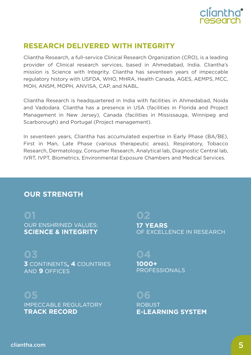

#### **RESEARCH DELIVERED WITH INTEGRITY**

Cliantha Research, a full-service Clinical Research Organization (CRO), is a leading provider of Clinical research services, based in Ahmedabad, India. Cliantha's mission is Science with Integrity. Cliantha has seventeen years of impeccable regulatory history with USFDA, WHO, MHRA, Health Canada, AGES, AEMPS, MCC, MOH, ANSM, MOPH, ANVISA, CAP, and NABL.

Cliantha Research is headquartered in India with facilities in Ahmedabad, Noida and Vadodara. Cliantha has a presence in USA (facilities in Florida and Project Management in New Jersey), Canada (facilities in Mississauga, Winnipeg and Scarborough) and Portugal (Project management).

In seventeen years, Cliantha has accumulated expertise in Early Phase (BA/BE), First in Man, Late Phase (various therapeutic areas), Respiratory, Tobacco Research, Dermatology, Consumer Research, Analytical lab, Diagnostic Central lab, IVRT, IVPT, Biometrics, Environmental Exposure Chambers and Medical Services.

#### **OUR STRENGTH**

OUR ENSHRINED VALUES: **01 SCIENCE & INTEGRITY**

**3** CONTINENTS**, 4** COUNTRIES **03** AND **9** OFFICES

#### **05**

IMPECCABLE REGULATORY **TRACK RECORD**

#### **02**

**17 YEARS** OF EXCELLENCE IN RESEARCH

#### **04**

**1000+** PROFESSIONALS

#### **06**

ROBUST **E-LEARNING SYSTEM**